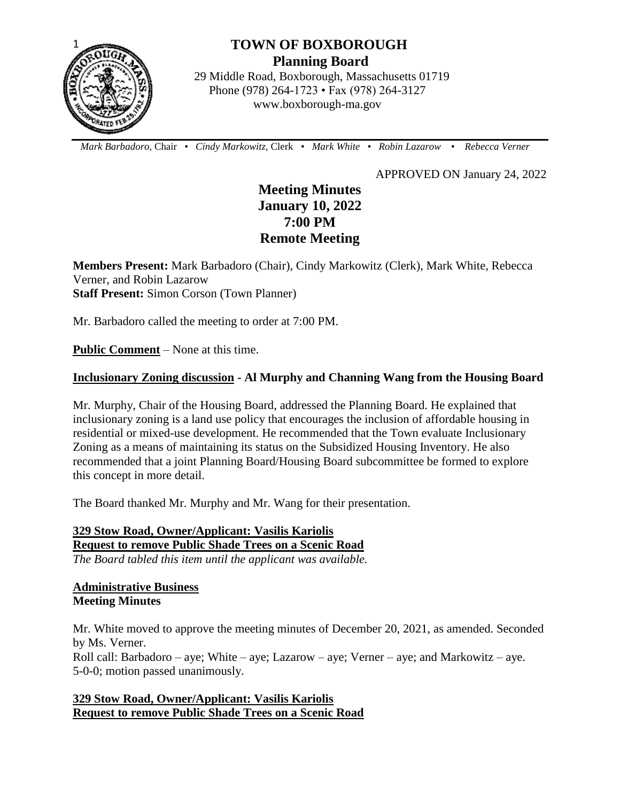

# **TOWN OF BOXBOROUGH Planning Board**

 29 Middle Road, Boxborough, Massachusetts 01719 Phone (978) 264-1723 • Fax (978) 264-3127 www.boxborough-ma.gov

 *Mark Barbadoro*, Chair • *Cindy Markowitz,* Clerk • *Mark White* • *Robin Lazarow* • *Rebecca Verner*

APPROVED ON January 24, 2022

# **Meeting Minutes January 10, 2022 7:00 PM Remote Meeting**

**Members Present:** Mark Barbadoro (Chair), Cindy Markowitz (Clerk), Mark White, Rebecca Verner, and Robin Lazarow **Staff Present:** Simon Corson (Town Planner)

Mr. Barbadoro called the meeting to order at 7:00 PM.

**Public Comment** – None at this time.

## **Inclusionary Zoning discussion - Al Murphy and Channing Wang from the Housing Board**

Mr. Murphy, Chair of the Housing Board, addressed the Planning Board. He explained that inclusionary zoning is a land use policy that encourages the inclusion of affordable housing in residential or mixed-use development. He recommended that the Town evaluate Inclusionary Zoning as a means of maintaining its status on the Subsidized Housing Inventory. He also recommended that a joint Planning Board/Housing Board subcommittee be formed to explore this concept in more detail.

The Board thanked Mr. Murphy and Mr. Wang for their presentation.

**329 Stow Road, Owner/Applicant: Vasilis Kariolis Request to remove Public Shade Trees on a Scenic Road**  *The Board tabled this item until the applicant was available.*

## **Administrative Business Meeting Minutes**

Mr. White moved to approve the meeting minutes of December 20, 2021, as amended. Seconded by Ms. Verner. Roll call: Barbadoro – aye; White – aye; Lazarow – aye; Verner – aye; and Markowitz – aye. 5-0-0; motion passed unanimously.

# **329 Stow Road, Owner/Applicant: Vasilis Kariolis Request to remove Public Shade Trees on a Scenic Road**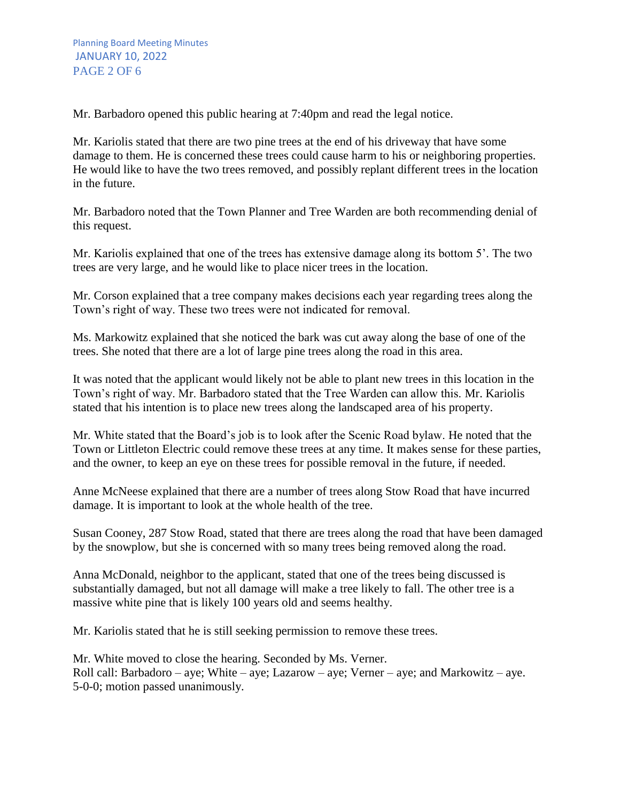Mr. Barbadoro opened this public hearing at 7:40pm and read the legal notice.

Mr. Kariolis stated that there are two pine trees at the end of his driveway that have some damage to them. He is concerned these trees could cause harm to his or neighboring properties. He would like to have the two trees removed, and possibly replant different trees in the location in the future.

Mr. Barbadoro noted that the Town Planner and Tree Warden are both recommending denial of this request.

Mr. Kariolis explained that one of the trees has extensive damage along its bottom 5'. The two trees are very large, and he would like to place nicer trees in the location.

Mr. Corson explained that a tree company makes decisions each year regarding trees along the Town's right of way. These two trees were not indicated for removal.

Ms. Markowitz explained that she noticed the bark was cut away along the base of one of the trees. She noted that there are a lot of large pine trees along the road in this area.

It was noted that the applicant would likely not be able to plant new trees in this location in the Town's right of way. Mr. Barbadoro stated that the Tree Warden can allow this. Mr. Kariolis stated that his intention is to place new trees along the landscaped area of his property.

Mr. White stated that the Board's job is to look after the Scenic Road bylaw. He noted that the Town or Littleton Electric could remove these trees at any time. It makes sense for these parties, and the owner, to keep an eye on these trees for possible removal in the future, if needed.

Anne McNeese explained that there are a number of trees along Stow Road that have incurred damage. It is important to look at the whole health of the tree.

Susan Cooney, 287 Stow Road, stated that there are trees along the road that have been damaged by the snowplow, but she is concerned with so many trees being removed along the road.

Anna McDonald, neighbor to the applicant, stated that one of the trees being discussed is substantially damaged, but not all damage will make a tree likely to fall. The other tree is a massive white pine that is likely 100 years old and seems healthy.

Mr. Kariolis stated that he is still seeking permission to remove these trees.

Mr. White moved to close the hearing. Seconded by Ms. Verner. Roll call: Barbadoro – aye; White – aye; Lazarow – aye; Verner – aye; and Markowitz – aye. 5-0-0; motion passed unanimously.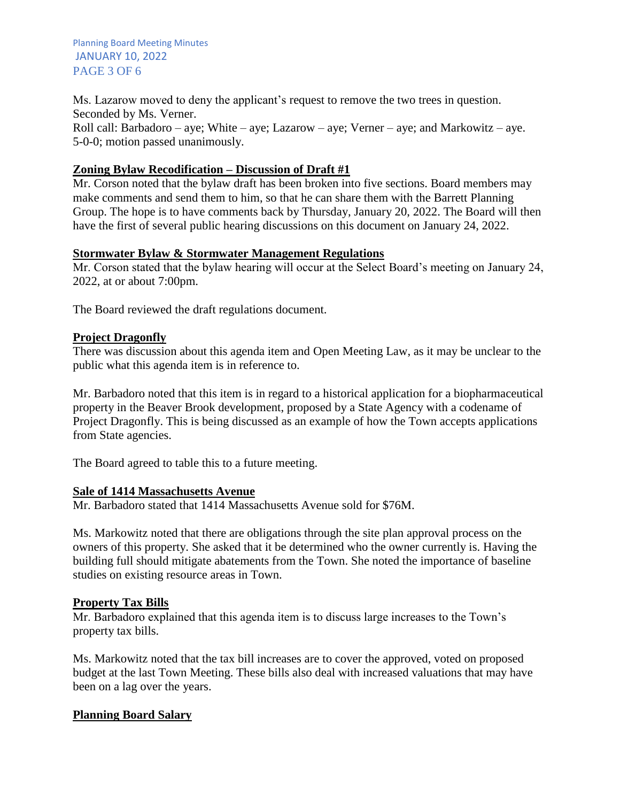Planning Board Meeting Minutes JANUARY 10, 2022 PAGE 3 OF 6

Ms. Lazarow moved to deny the applicant's request to remove the two trees in question. Seconded by Ms. Verner. Roll call: Barbadoro – aye; White – aye; Lazarow – aye; Verner – aye; and Markowitz – aye. 5-0-0; motion passed unanimously.

## **Zoning Bylaw Recodification – Discussion of Draft #1**

Mr. Corson noted that the bylaw draft has been broken into five sections. Board members may make comments and send them to him, so that he can share them with the Barrett Planning Group. The hope is to have comments back by Thursday, January 20, 2022. The Board will then have the first of several public hearing discussions on this document on January 24, 2022.

## **Stormwater Bylaw & Stormwater Management Regulations**

Mr. Corson stated that the bylaw hearing will occur at the Select Board's meeting on January 24, 2022, at or about 7:00pm.

The Board reviewed the draft regulations document.

## **Project Dragonfly**

There was discussion about this agenda item and Open Meeting Law, as it may be unclear to the public what this agenda item is in reference to.

Mr. Barbadoro noted that this item is in regard to a historical application for a biopharmaceutical property in the Beaver Brook development, proposed by a State Agency with a codename of Project Dragonfly. This is being discussed as an example of how the Town accepts applications from State agencies.

The Board agreed to table this to a future meeting.

#### **Sale of 1414 Massachusetts Avenue**

Mr. Barbadoro stated that 1414 Massachusetts Avenue sold for \$76M.

Ms. Markowitz noted that there are obligations through the site plan approval process on the owners of this property. She asked that it be determined who the owner currently is. Having the building full should mitigate abatements from the Town. She noted the importance of baseline studies on existing resource areas in Town.

#### **Property Tax Bills**

Mr. Barbadoro explained that this agenda item is to discuss large increases to the Town's property tax bills.

Ms. Markowitz noted that the tax bill increases are to cover the approved, voted on proposed budget at the last Town Meeting. These bills also deal with increased valuations that may have been on a lag over the years.

# **Planning Board Salary**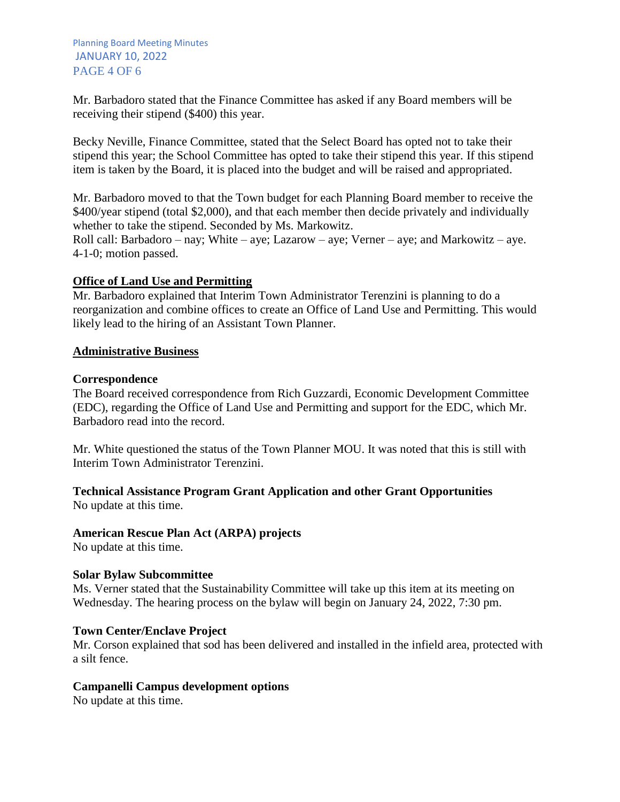Mr. Barbadoro stated that the Finance Committee has asked if any Board members will be receiving their stipend (\$400) this year.

Becky Neville, Finance Committee, stated that the Select Board has opted not to take their stipend this year; the School Committee has opted to take their stipend this year. If this stipend item is taken by the Board, it is placed into the budget and will be raised and appropriated.

Mr. Barbadoro moved to that the Town budget for each Planning Board member to receive the \$400/year stipend (total \$2,000), and that each member then decide privately and individually whether to take the stipend. Seconded by Ms. Markowitz.

Roll call: Barbadoro – nay; White – aye; Lazarow – aye; Verner – aye; and Markowitz – aye. 4-1-0; motion passed.

## **Office of Land Use and Permitting**

Mr. Barbadoro explained that Interim Town Administrator Terenzini is planning to do a reorganization and combine offices to create an Office of Land Use and Permitting. This would likely lead to the hiring of an Assistant Town Planner.

## **Administrative Business**

## **Correspondence**

The Board received correspondence from Rich Guzzardi, Economic Development Committee (EDC), regarding the Office of Land Use and Permitting and support for the EDC, which Mr. Barbadoro read into the record.

Mr. White questioned the status of the Town Planner MOU. It was noted that this is still with Interim Town Administrator Terenzini.

# **Technical Assistance Program Grant Application and other Grant Opportunities**

No update at this time.

#### **American Rescue Plan Act (ARPA) projects**

No update at this time.

#### **Solar Bylaw Subcommittee**

Ms. Verner stated that the Sustainability Committee will take up this item at its meeting on Wednesday. The hearing process on the bylaw will begin on January 24, 2022, 7:30 pm.

# **Town Center/Enclave Project**

Mr. Corson explained that sod has been delivered and installed in the infield area, protected with a silt fence.

# **Campanelli Campus development options**

No update at this time.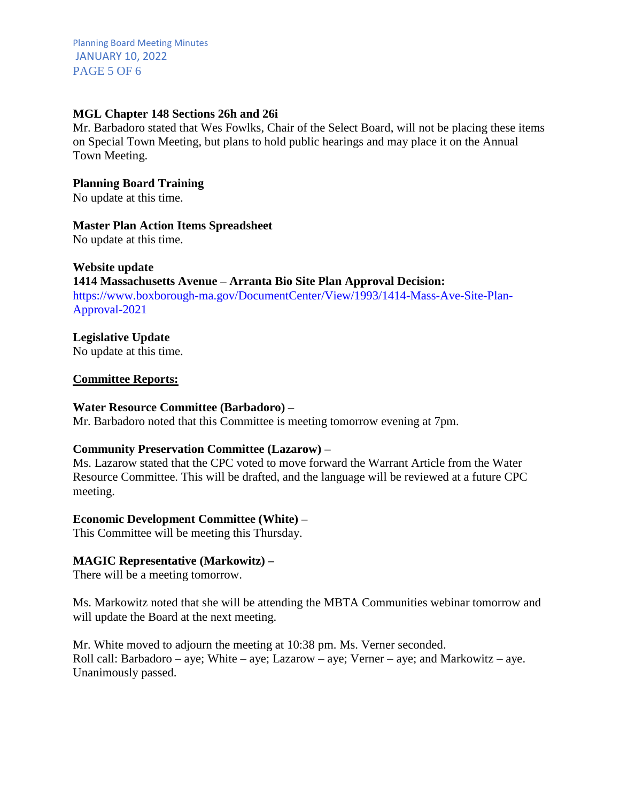Planning Board Meeting Minutes JANUARY 10, 2022 PAGE 5 OF 6

#### **MGL Chapter 148 Sections 26h and 26i**

Mr. Barbadoro stated that Wes Fowlks, Chair of the Select Board, will not be placing these items on Special Town Meeting, but plans to hold public hearings and may place it on the Annual Town Meeting.

**Planning Board Training** No update at this time.

#### **Master Plan Action Items Spreadsheet**

No update at this time.

#### **Website update**

#### **1414 Massachusetts Avenue – Arranta Bio Site Plan Approval Decision:**  https://www.boxborough-ma.gov/DocumentCenter/View/1993/1414-Mass-Ave-Site-Plan-Approval-2021

# **Legislative Update**

No update at this time.

#### **Committee Reports:**

#### **Water Resource Committee (Barbadoro) –**

Mr. Barbadoro noted that this Committee is meeting tomorrow evening at 7pm.

#### **Community Preservation Committee (Lazarow) –**

Ms. Lazarow stated that the CPC voted to move forward the Warrant Article from the Water Resource Committee. This will be drafted, and the language will be reviewed at a future CPC meeting.

#### **Economic Development Committee (White) –**

This Committee will be meeting this Thursday.

#### **MAGIC Representative (Markowitz) –**

There will be a meeting tomorrow.

Ms. Markowitz noted that she will be attending the MBTA Communities webinar tomorrow and will update the Board at the next meeting.

Mr. White moved to adjourn the meeting at 10:38 pm. Ms. Verner seconded. Roll call: Barbadoro – aye; White – aye; Lazarow – aye; Verner – aye; and Markowitz – aye. Unanimously passed.